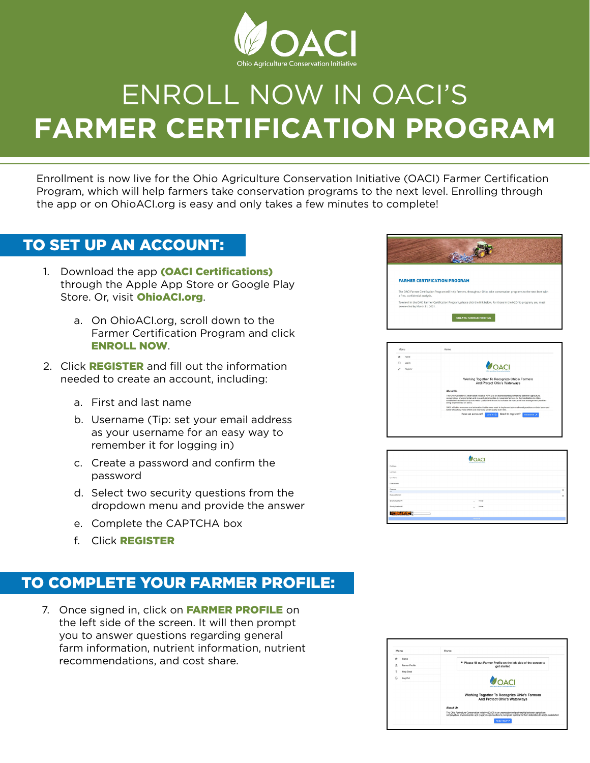

# ENROLL NOW IN OACI'S **FARMER CERTIFICATION PROGRAM**

Enrollment is now live for the Ohio Agriculture Conservation Initiative (OACI) Farmer Certification Program, which will help farmers take conservation programs to the next level. Enrolling through the app or on OhioACI.org is easy and only takes a few minutes to complete!

# TO SET UP AN ACCOUNT:

- 1. Download the app (OACI Certifications) through the Apple App Store or Google Play Store. Or, visit OhioACI.org.
	- a. On OhioACI.org, scroll down to the Farmer Certification Program and click ENROLL NOW.
- 2. Click **REGISTER** and fill out the information needed to create an account, including:
	- a. First and last name
	- b. Username (Tip: set your email address as your username for an easy way to remember it for logging in)
	- c. Create a password and confirm the password
	- d. Select two security questions from the dropdown menu and provide the answer
	- e. Complete the CAPTCHA box
	- f. Click REGISTER

# TO COMPLETE YOUR FARMER PROFILE:

7. Once signed in, click on FARMER PROFILE on the left side of the screen. It will then prompt you to answer questions regarding general farm information, nutrient information, nutrient recommendations, and cost share.

| <b>FARMER CERTIFICATION PROGRAM</b><br>The OACI Farmer Certification Program will help farmers, throughout Ohio, take conservation programs to the next level with<br>a free, confidential analysis. |                                                                                                                            |
|------------------------------------------------------------------------------------------------------------------------------------------------------------------------------------------------------|----------------------------------------------------------------------------------------------------------------------------|
|                                                                                                                                                                                                      |                                                                                                                            |
|                                                                                                                                                                                                      |                                                                                                                            |
|                                                                                                                                                                                                      |                                                                                                                            |
| be enrolled by March 31, 2021.                                                                                                                                                                       | To enroll in the OACI Farmer Certification Program, please click the link below. For those in the H2Ohio program, you must |

| <b>Home</b>                           |                                                                                                                                                                                                                                                                                                                                                                        |
|---------------------------------------|------------------------------------------------------------------------------------------------------------------------------------------------------------------------------------------------------------------------------------------------------------------------------------------------------------------------------------------------------------------------|
| $\left( \widehat{n}\right)$<br>Log In | MOACI                                                                                                                                                                                                                                                                                                                                                                  |
| Register                              | Ohio Audeuburg Comproption Initiation                                                                                                                                                                                                                                                                                                                                  |
|                                       | Working Together To Recognize Ohio's Farmers                                                                                                                                                                                                                                                                                                                           |
|                                       | And Protect Ohio's Waterways                                                                                                                                                                                                                                                                                                                                           |
|                                       | <b>About Us</b>                                                                                                                                                                                                                                                                                                                                                        |
|                                       | The Ohio Agriculture Conservation Initiative (OACI) is an unprecedented partnership between agriculture,<br>conservation, environmental, and research communities to recognize farmers for their dedication to utilize<br>established methods to improve water quality in Ohio and to increase the number of best management practices.<br>being implemented on farms. |
|                                       | OACI will offer resources and education that farmers need to implement science-based practices on their farms and<br>better show how those efforts are improving water quality over time.                                                                                                                                                                              |
|                                       | Have an account?<br>Need to register?<br><b>REGISTER A</b><br>$100 \times 9$                                                                                                                                                                                                                                                                                           |
|                                       |                                                                                                                                                                                                                                                                                                                                                                        |

|                           | <b>VOACI</b><br><b>PASS Right phone Companies Indicate</b> |         |
|---------------------------|------------------------------------------------------------|---------|
| Fishhare                  |                                                            |         |
| Leditions                 |                                                            |         |
| <b>Use Nane</b>           |                                                            |         |
| Cmal Access               |                                                            |         |
| Patented<br>$=$           |                                                            | $\circ$ |
| Password Confers          |                                                            | $\circ$ |
| <b>Tenato Question #1</b> | Antonio<br>v.                                              |         |
| Security Question #2      | Attorney<br>÷                                              |         |
| <b>SENDICE</b>            |                                                            |         |
|                           | <b>BELIEVEN</b>                                            |         |